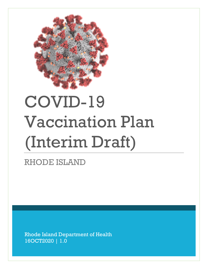

# COVID-19 Vaccination Plan (Interim Draft)

RHODE ISLAND

Rhode Island Department of Health 16OCT2020 | 1.0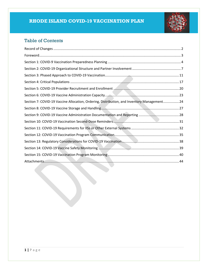

## Table of Contents

| Section 7: COVID-19 Vaccine Allocation, Ordering, Distribution, and Inventory Management 24 |  |
|---------------------------------------------------------------------------------------------|--|
|                                                                                             |  |
|                                                                                             |  |
|                                                                                             |  |
|                                                                                             |  |
|                                                                                             |  |
|                                                                                             |  |
|                                                                                             |  |
|                                                                                             |  |
|                                                                                             |  |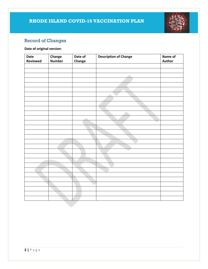

## <span id="page-2-0"></span>Record of Changes

#### **Date of original version:**

| Date     | Change        | Date of | <b>Description of Change</b> | Name of |
|----------|---------------|---------|------------------------------|---------|
| Reviewed | <b>Number</b> | Change  |                              | Author  |
|          |               |         |                              |         |
|          |               |         |                              |         |
|          |               |         |                              |         |
|          |               |         |                              |         |
|          |               |         |                              |         |
|          |               |         |                              |         |
|          |               |         | ÷                            |         |
|          |               |         |                              |         |
|          |               |         |                              |         |
|          |               |         |                              |         |
|          |               |         |                              |         |
|          |               | ÷       |                              |         |
|          |               |         | $\overline{\phantom{a}}$     |         |
|          |               |         |                              |         |
|          |               |         |                              |         |
|          |               |         |                              |         |
|          |               |         |                              |         |
|          |               |         |                              |         |
|          |               |         | a sa                         |         |
|          |               |         |                              |         |
|          |               |         |                              |         |
|          |               |         |                              |         |
|          |               |         |                              |         |
|          |               |         |                              |         |
|          |               |         |                              |         |
|          |               |         |                              |         |
|          |               |         |                              |         |
|          |               |         |                              |         |
|          |               |         |                              |         |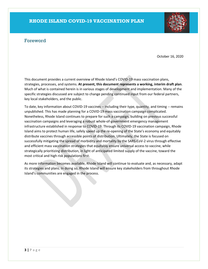## <span id="page-3-0"></span>Foreword

October 16, 2020

This document provides a current overview of Rhode Island's COVID-19 mass vaccination plans, strategies, processes, and systems. **At present, this document represents a working, interim draft plan**. Much of what is contained herein is in various stages of development and implementation. Many of the specific strategies discussed are subject to change pending continued input from our federal partners, key local stakeholders, and the public.

To date, key information about COVID-19 vaccines -- including their type, quantity, and timing -- remains unpublished. This has made planning for a COVID-19 mass vaccination campaign complicated. Nonetheless, Rhode Island continues to prepare for such a campaign, building on previous successful vaccination campaigns and leveraging a robust whole-of-government emergency management infrastructure established in response to COVID-19. Through its COVID-19 vaccination campaign, Rhode Island aims to protect human life, safely speed up the re-opening of the State's economy and equitably distribute vaccines through accessible points of distribution. Ultimately, the State is focused on successfully mitigating the spread of morbidity and mortality by the SARS-CoV-2 virus through effective and efficient mass vaccination strategies that equitably ensure universal access to vaccine, while strategically prioritizing distribution, in light of anticipated limited supply of the vaccine, toward the most critical and high risk populations first.

As more information becomes available, Rhode Island will continue to evaluate and, as necessary, adapt its strategies and plans. In doing so, Rhode Island will ensure key stakeholders from throughout Rhode Island's communities are engaged in the process.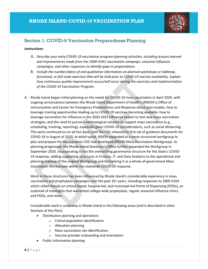

## <span id="page-4-0"></span>Section 1: COVID-9 Vaccination Preparedness Planning

#### *Instructions:*

- A. *Describe your early COVID-19 vaccination program planning activities, including lessons learned and improvements made from the 2009 H1N1 vaccination campaign, seasonal influenza campaigns, and other responses to identify gaps in preparedness.*
- B. *Include the number/dates of and qualitative information on planned workshops or tabletop, functional, or full-scale exercises that will be held prior to COVID-19 vaccine availability. Explain how continuous quality improvement occurs/will occur during the exercises and implementation of the COVID-19 Vaccination Program.*
- A. Rhode Island began initial planning on the needs for COVID-19 mass vaccination in April 2020, with ongoing conversations between the Rhode Island Department of Health's (RIDOH's) Office of Immunization and Center for Emergency Preparedness and Response about past models, how to leverage training opportunities leading up to COVID-19 vaccines becoming available, how to leverage vaccination for influenza in the 2020-2021 influenza season to test new mass vaccination strategies, and the need to pursue a technological solution to support mass vaccination (e.g., scheduling, tracking, reporting), especially given COVID-19 considerations, such as social distancing. This work continued on an ad hoc basis until the CDC released its first set of guidance documents for COVID-19 in August of 2020, at which point, RIDOH expanded to a more structured workgroup to plan and prepare for the scenarios CDC had developed (RIDOH Mass Vaccination Workgroup). As planning progressed, the Rhode Island Governor's Office further expanded the Workgroup in September 2020, incorporating it into the overarching governance structure for the State's COVID-19 response, adding supporting structures in Finance, IT, and Data Analytics to the operational and planning makeup of the original Workgroup and formalizing it as a whole-of-government Mass Vaccination Workstream within the statewide COVID-19 response.

Work in these structures has been influenced by Rhode Island's considerable experience in mass vaccination and prophylaxis campaigns over the past 10+ years, including responses to 2009 H1N1 which relied heavily on school-based, hospital-led, and municipal-led Points of Dispensing (PODs), an outbreak of meningitis that warranted college-wide prophylaxis, regular seasonal influenza clinics and PODs, and more.

Considerable work is underway in Rhode Island in the following areas (and is described in other Sections of this Plan):

- Distribution planning and operations
	- o Critical population identification
	- o Allocation planning
	- o Mass vaccination site identification
	- o Vaccine provider onboarding and orientation
- Public information planning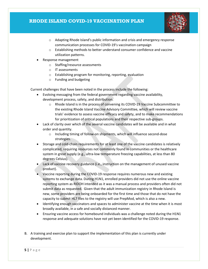

- o Adapting Rhode Island's public information and crisis and emergency response communication processes for COVID-19's vaccination campaign
- o Establishing methods to better understand consumer confidence and vaccine utilization patterns.
- Response management
	- o Staffing/resource assessments
	- o IT assessments
	- o Establishing program for monitoring, reporting, evaluation
	- o Funding and budgeting

Current challenges that have been noted in the process include the following:

- Evolving messaging from the federal government regarding vaccine availability, development process, safety, and distribution.
	- o Rhode Island is in the process of convening its COVID-19 Vaccine Subcommittee to the existing Rhode Island Vaccine Advisory Committee, which will review vaccine trials' evidence to assess vaccine efficacy and safety, and to make recommendations for prioritization of critical populations and their respective sub-groups.
- Lack of clarity over which of the several vaccine candidates will be available and in what order and quantity.
	- o Including timing of follow-on shipments, which will influence second-dose strategies.
- Storage and cold-chain requirements for at least one of the vaccine candidates is relatively complicated, requiring resources not commonly found in communities or the healthcare system in great supply (e.g., ultra-low temperature freezing capabilities, at less than 80 degrees Celsius).
- Lack of vaccine recovery guidance (i.e., instruction on the management of unused vaccine product).
- Vaccine reporting during the COVID-19 response requires numerous new and existing systems to exchange data. During H1N1, enrolled providers did not use the online vaccine reporting system as RIDOH intended as it was a manual process and providers often did not submit data as requested. Given that the adult immunization registry in Rhode Island is new, some providers are being onboarded for the first time and those that do not have the capacity to submit HL7 files to the registry will use PrepMod, which is also a new.
- Identifying enough vaccinators and spaces to administer vaccine at the time when it is most broadly available, in a safe and socially distanced manner.
- Ensuring vaccine access for homebound individuals was a challenge noted during the H1N1 response and adequate solutions have not yet been identified for the COVID-19 response.
- B. A training and exercise plan to support the implementation of this plan is currently under development.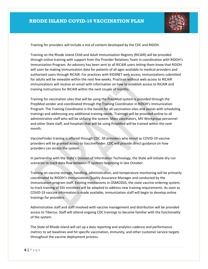

Training for providers will include a mix of content developed by the CDC and RIDOH.

Training on the Rhode Island Child and Adult Immunization Registry (RICAIR) will be provided through online training with support from the Provider Relations Team in coordination with RIDOH's Immunization Program. An advisory has been sent to all RICAIR users letting them know that RIDOH will soon be making immunization data for patients of all ages available to medical providers and authorized users through RICAIR. For practices with KIDSNET web access, immunizations submitted for adults will be viewable within the next few weeks. Practices without web access to RICAIR immunizations will receive an email with information on how to establish access to RICAIR and training instructions for RICAIR within the next couple of months.

Training for vaccination sites that will be using the PrepMod system is provided through the PrepMod vendor and coordinated through the Training Coordinator in RIDOH's Immunization Program. The Training Coordinator is the liaison for all vaccination sites and assists with scheduling trainings and addressing any additional training needs. Trainings will be provided online to all administrative staff who will be utilizing the system. Mass vaccinators, MV Workgroup personnel and other State staff, and hospitals that will be using PrepMod will be trained within the next month.

VaccineFinder training is offered through CDC. All providers who enroll as COVID-19 vaccine providers will be granted access to VaccineFinder. CDC will provide direct guidance on how providers can access the system.

In partnership with the State's Division of Information Technology, the State will initiate dry run scenarios to track data flow between IT systems beginning in late October.

Training on vaccine storage, handling, administration, and temperature monitoring will be primarily coordinated by RIDOH's Immunization Quality Assurance Manager and conducted by the immunization program staff. Existing mechanisms in OSMOSSIS, the state vaccine ordering system, to track training of SSV enrollees will be adapted to address new training requirements. As soon as COVID-19 vaccine information is made available, immunization staff will begin to develop online trainings for providers.

Administrative staff and staff involved with vaccine management and distribution will be provided access to Tiberius. Staff will attend ongoing CDC trainings to become familiar with the functionality of the system.

The State of Rhode Island will set up a data reporting and analytics cadence and performance metrics to set baselines and hit specific vaccination, immunity, and other customer service targets throughout the vaccine deployment process.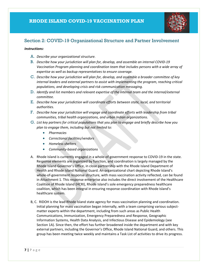

## <span id="page-7-0"></span>Section 2: COVID-19 Organizational Structure and Partner Involvement

#### *Instructions:*

- A. *Describe your organizational structure.*
- B. *Describe how your jurisdiction will plan for, develop, and assemble an internal COVID-19 Vaccination Program planning and coordination team that includes persons with a wide array of expertise as well as backup representatives to ensure coverage.*
- C. *Describe how your jurisdiction will plan for, develop, and assemble a broader committee of key internal leaders and external partners to assist with implementing the program, reaching critical populations, and developing crisis and risk communication messaging.*
- D. *Identify and list members and relevant expertise of the internal team and the internal/external committee.*
- E. *Describe how your jurisdiction will coordinate efforts between state, local, and territorial authorities.*
- F. *Describe how your jurisdiction will engage and coordinate efforts with leadership from tribal communities, tribal health organizations, and urban Indian organizations.*
- G. *List key partners for critical populations that you plan to engage and briefly describe how you plan to engage them, including but not limited to:*
	- *Pharmacies*
	- *Correctional facilities/vendors*
	- *Homeless shelters*
	- *Community-based organizations*
- A. Rhode Island is currently engaged in a whole-of-government response to COVID-19 in the state. Response elements are organized by function, and coordination is largely managed by the Rhode Island Governor's Office, in close partnership with the Rhode Island Department of Health and Rhode Island National Guard. An organizational chart depicting Rhode Island's whole-of-government response structure, with mass vaccination activity reflected, can be found in Attachment 1. This response enterprise also includes the direct involvement of the Healthcare Coalition of Rhode Island (HCRI), Rhode Island's sole emergency preparedness healthcare coalition, which has been integral in ensuring response coordination with Rhode Island's healthcare system.
- B, C. RIDOH is the lead Rhode Island state agency for mass vaccination planning and coordination. Initial planning for mass vaccination began internally, with a team comprising various subjectmatter experts within the department, including from such areas as Public Health Communications, Immunization, Emergency Preparedness and Response, Geographic Information Systems, Health Data Analysis, and Infectious Disease and Epidemiology (see Section 1A). Since then, the effort has further broadened inside the department and with key external partners, including the Governor's Office, Rhode Island National Guard, and others. This group has been meeting twice weekly and maintains a Task List of activities to drive its progress.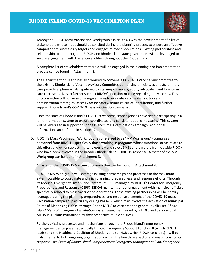

Among the RIDOH Mass Vaccination Workgroup's initial tasks was the development of a list of stakeholders whose input should be solicited during the planning process to ensure an effective campaign that successfully targets and engages relevant populations. Existing partnerships and relationships from throughout RIDOH and Rhode Island state government will be leveraged to secure engagement with these stakeholders throughout the Rhode Island.

A complete list of stakeholders that are or will be engaged in the planning and implementation process can be found in Attachment 2.

The Department of Health has also worked to convene a COVID-19 Vaccine Subcommittee to the existing Rhode Island Vaccine Advisory Committee comprising ethicists, scientists, primary care providers, pharmacists, epidemiologists, major insurers, equity advocates, and long-term care representatives to further support RIDOH's decision-making regarding the vaccines. This Subcommittee will convene on a regular basis to evaluate vaccine distribution and administration strategies, assess vaccine safety, prioritize critical populations, and further support Rhode Island's COVID-19 mass vaccination campaign.

Since the start of Rhode Island's COVID-19 response, state agencies have been participating in a joint information system to ensure coordinated and consistent public messaging. This system will be leveraged in support of Rhode Island's mass vaccination campaign. Additional information can be found in Section 12.

D. RIDOH's Mass Vaccination Workgroup (also referred to as "MV Workgroup") comprises personnel from RIDOH – specifically those working in programs whose functional areas relate to this effort and other subject-matter experts – and select SMEs and partners from outside RIDOH who have been involved in the broader Rhode Island COVID-19 response. A roster of the MV Workgroup can be found in Attachment 3.

A roster of the COVID-19 Vaccine Subcommittee can be found in Attachment 4.

E. RIDOH's MV Workgroup will leverage existing partnerships and processes to the maximum extent possible to coordinate and align planning, preparedness, and response efforts. Through its Medical Emergency Distribution System (MEDS), managed by RIDOH's Center for Emergency Preparedness and Response (CEPR), RIDOH maintains direct engagement with municipal officials specifically related to mass vaccination operations. These existing partnerships will be heavily leveraged during the planning, preparedness, and response elements of the COVID-19 mass vaccination campaign, particularly during Phase 3, which may involve the activation of municipal Points of Dispensing (PODs) through Rhode MEDS to vaccinate the general public (see *Rhode Island Medical Emergency Distribution System Plan*, maintained by RIDOH, and 39 individual MEDS-POD plans maintained by their respective municipalities).

Further, existing processes and mechanisms through the Rhode Island's emergency management enterprise – specifically through Emergency Support Function 8 (which RIDOH leads) and the Healthcare Coalition of Rhode Island (or HCRI, which RIDOH co-chairs) – will be instrumental to both engaging organizations within the healthcare sector and ensuring a holistic response (see *State of Rhode Island Comprehensive Emergency Management Plan, Emergency*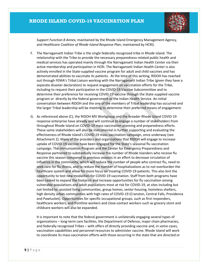

*Support Function 8 Annex*, maintained by the Rhode Island Emergency Management Agency, and *Healthcare Coalition of Rhode Island Response Plan*, maintained by HCRI).

- F. The Narragansett Indian Tribe is the single federally recognized tribe in Rhode Island. The relationship with the Tribe to provide the necessary preparedness-related public health and medical services has operated mainly through the Narragansett Indian Health Center via their active membership and participation in HCRI. The Narragansett Indian Health Center is also actively enrolled in the State-supplied vaccine program for adult and child vaccines and has demonstrated abilities to vaccinate its patients. At the time of this writing, RIDOH has reached out through FEMA's Tribal Liaison working with the Narragansett Indian Tribe (given they have a separate disaster declaration) to request engagement on vaccination efforts for the Tribe, including to request their participation in the COVID-19 Vaccine Subcommittee and to determine their preference for receiving COVID-19 vaccine through the State-supplied vaccine program or directly by the federal government or the Indian Health Service. An initial conversation between RIDOH and the one of the members of Tribal leadership has occurred and the larger Tribal leadership will be meeting to determine their preferred means of engagement.
- G. As referenced above (C), the RIDOH MV Workgroup and the broader Rhode Island COVID-19 response enterprise have already and will continue to engage a number of stakeholders from throughout Rhode Island on COVID-19 mass vaccination planning and preparedness efforts. These same stakeholders will also be instrumental in further supporting and evaluating the effectiveness of Rhode Island's COVID-19 mass vaccination campaign, once underway (see Attachment 2). Many of the providers and organizations that RIDOH will engage to increase uptake of COVID-19 vaccine have been engaged for the State's seasonal flu vaccination campaign. The Immunization Program and the Center for Emergency Preparedness and Response partnered to substantially increase the number of Rhode Islanders who receive flu vaccine this season compared to previous seasons in an effort to decrease circulation of influenza in the community, which will reduce the number of people who contract flu, need to seek care for flu illness, and to reduce the number of hospitalizations as to not overburden the healthcare system and allow for more focus on treating COVID-19 patients. This also lent the opportunity to test new modalities for COVID-19 vaccination. Staff from both programs have been tasked to expand the footprint and increase opportunities for flu vaccination among vulnerable populations and adult populations most at risk for COVID-19, at sites including but not limited to: assisted living communities, group homes, senior housing, homeless shelters, high density urban communities with high rates of COVID-19 (Cranston, Central Falls, Providence and Pawtucket). Opportunities for specific occupational groups, such as first responders, healthcare workers, and frontline workers and close-contact workers such as grocery store and childcare workers will also be expanded.

It is important to note that the federal government is unilaterally engaging several types of organizations – long-term care facilities, the Department of Defense, major chain pharmacies, and federally recognized Tribes – with offers of directly providing vaccine and, in some cases, vaccination capabilities and personnel resources to administer vaccine. Rhode Island will work to coordinate its mass vaccination efforts with those occurring in the state that are directed or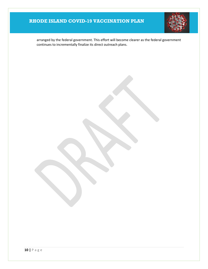

arranged by the federal government. This effort will become clearer as the federal government continues to incrementally finalize its direct outreach plans.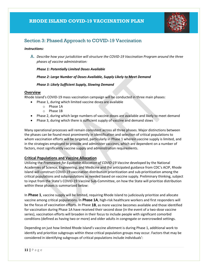

## <span id="page-11-0"></span>Section 3: Phased Approach to COVID-19 Vaccination

#### *Instructions:*

A. *Describe how your jurisdiction will structure the COVID-19 Vaccination Program around the three phases of vaccine administration:*

#### *Phase 1: Potentially Limited Doses Available*

#### *Phase 2: Large Number of Doses Available, Supply Likely to Meet Demand*

#### *Phase 3: Likely Sufficient Supply, Slowing Demand*

#### **Overview**

Rhode Island's COVID-19 mass vaccination campaign will be conducted in three main phases:

- Phase 1, during which limited vaccine doses are available
	- o Phase 1A
	- o Phase 1B
- Phase 2, during which large numbers of vaccine doses are available and likely to meet demand
- Phase 3, during which there is sufficient supply of vaccine and demand slows

Many operational processes will remain consistent across all three phases. Major distinctions between the phases can be found most prominently in identification and selection of critical populations to whom vaccination efforts will be targeted, particularly in Phase 1 wherein vaccine supply is limited, and in the strategies employed to provide and administer vaccines, which are dependent on a number of factors, most significantly vaccine supply and administration requirements.

#### **Critical Populations and Vaccine Allocation**

Utilizing the *Framework for Equitable Allocation of COVID-19 Vaccine* developed by the National Academies of Science, Engineering, and Medicine and the anticipated guidance from CDC's ACIP, Rhode Island will construct COVID-19 vaccination distribution prioritization and sub-prioritization among the critical populations and subpopulations as needed based on vaccine supply. Preliminary thinking, subject to input from the State's COVID-19 Vaccine Sub-Committee, on how the State will prioritize distribution within these phases is summarized below:

In **Phase 1**, vaccine supply will be limited, requiring Rhode Island to judiciously prioritize and allocate vaccine among critical populations. In **Phase 1A**, high-risk healthcare workers and first responders will be the focus of vaccination efforts. In Phase **1B**, as more vaccine becomes available and those identified for vaccination during Phase 1A have received their second dose (in the event of a two-dose vaccine series), vaccination efforts will broaden in their focus to include people with significant comorbid conditions (defined as having two or more) and older adults in congregate or overcrowded settings.

Depending on just how limited Rhode Island's vaccine allotment is during Phase 1, additional work to identify and prioritize subgroups within these critical population groups may occur. Factors that may be considered in identifying subgroups of critical populations include individuals':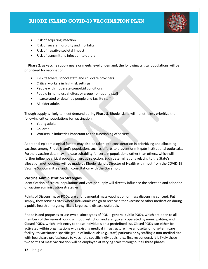

- Risk of acquiring infection
- Risk of severe morbidity and mortality
- Risk of negative societal impact
- Risk of transmitting infection to others

In **Phase 2**, as vaccine supply nears or meets level of demand, the following critical populations will be prioritized for vaccination:

- K-12 teachers, school staff, and childcare providers
- Critical workers in high-risk settings
- People with moderate comorbid conditions
- People in homeless shelters or group homes and staff
- Incarcerated or detained people and facility staff
- All older adults

Though supply is likely to meet demand during **Phase 3**, Rhode Island will nonetheless prioritize the following critical populations for vaccination:

- Young adults
- Children
- Workers in industries important to the functioning of society

Additional epidemiological factors may also be taken into consideration in prioritizing and allocating vaccines among Rhode Island's population, such as efforts to prevent or mitigate institutional outbreaks. Further, vaccine data may indicate suitability for certain populations rather than others, which will further influence critical population group selection. Such determinations relating to the State's allocation methodology will be made by Rhode Island's Director of Health with input from the COVID-19 Vaccine Subcommittee, and in consultation with the Governor.

#### **Vaccine Administration Strategies**

Identification of critical populations and vaccine supply will directly influence the selection and adoption of vaccine administration strategies.

Points of Dispensing, or PODs, are a fundamental mass vaccination or mass dispensing concept. Put simply, they serve as sites where individuals can go to receive either vaccine or other medication during a public health emergency, like a large-scale disease outbreak.

Rhode Island proposes to use two distinct types of POD – **general public PODs**, which are open to all members of the general public without restriction and are typically operated by municipalities, and **Closed PODs**, which limit entry to those individuals on a predefined list. Closed PODs can either be activated within organizations with existing medical infrastructure (like a hospital or long-term care facility) to vaccinate a specific group of individuals (e.g., staff, patients) or by staffing a non-medical site with healthcare professionals to vaccinate specific individuals (e.g., first responders). It is likely these two forms of mass vaccination will be employed at varying scale throughout all three phases.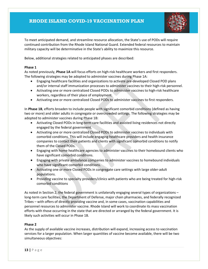

To meet anticipated demand, and streamline resource allocation, the State's use of PODs will require continued contribution from the Rhode Island National Guard. Extended federal resources to maintain military capacity will be determinative in the State's ability to maximize this resource.

Below, additional strategies related to anticipated phases are described:

#### **Phase 1**

As noted previously, **Phase 1A** will focus efforts on high-risk healthcare workers and first responders. The following strategies may be adopted to administer vaccines during Phase 1A:

- Engaging healthcare facilities and organizations to activate pre-developed Closed POD plans and/or internal staff immunization processes to administer vaccines to their high-risk personnel.
- Activating one or more centralized Closed PODs to administer vaccines to high-risk healthcare workers, regardless of their place of employment.
- Activating one or more centralized Closed PODs to administer vaccines to first responders.

In **Phase 1B**, efforts broaden to include people with significant comorbid conditions (defined as having two or more) and older adults in congregate or overcrowded settings. The following strategies may be adopted to administer vaccines during Phase 1B:

- Activating Closed PODs in long-term care facilities and assisted living residences not directly engaged by the federal government.
- Activating one or more centralized Closed PODs to administer vaccines to individuals with comorbid conditions. This will include engaging healthcare providers and health insurance companies to contact their patients and clients with significant comorbid conditions to notify them of the Closed PODs.
- Engaging with home healthcare agencies to administer vaccines to their homebound clients who have significant comorbid conditions.
- Engaging with private ambulance companies to administer vaccines to homebound individuals who have significant comorbid conditions.
- Activating one or more Closed PODs in congregate care settings with large older-adult populations.
- Providing vaccine to specialty providers/clinics with patients who are being treated for high-risk comorbid conditions

As noted in Section 2, the federal government is unilaterally engaging several types of organizations – long-term care facilities, the Department of Defense, major chain pharmacies, and federally recognized Tribes – with offers of directly providing vaccine and, in some cases, vaccination capabilities and personnel resources to administer vaccine. Rhode Island will work to coordinate its mass vaccination efforts with those occurring in the state that are directed or arranged by the federal government. It is likely such activities will occur in Phase 1B.

#### **Phase 2**

As the supply of available vaccine increases, distribution will expand, increasing access to vaccination services for a larger population. When larger quantities of vaccine become available, there will be two simultaneous objectives: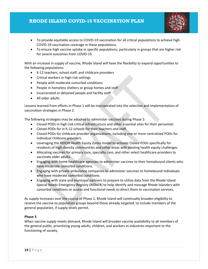

- To provide equitable access to COVID-19 vaccination for all critical populations to achieve high COVID-19 vaccination coverage in these populations.
- To ensure high vaccine uptake in specific populations, particularly in groups that are higher risk for severe outcomes from COVID-19.

With an increase in supply of vaccine, Rhode Island will have the flexibility to expand opportunities to the following populations:

- K-12 teachers, school staff, and childcare providers
- Critical workers in high-risk settings
- People with moderate comorbid conditions
- People in homeless shelters or group homes and staff
- Incarcerated or detained people and facility staff
- All older adults

Lessons learned from efforts in Phase 1 will be incorporated into the selection and implementation of vaccination strategies in Phase 2.

The following strategies may be adopted to administer vaccines during Phase 2:

- Closed PODs in high-risk critical infrastructure and other essential sites for their personnel.
- Closed PODs for in K-12 schools for their teachers and staff.
- Closed PODs for childcare provider organizations, including one or more centralized PODs for individual childcare providers.
- Leveraging the RIDOH Health Equity Zones model to activate Closed PODs specifically for residents of high-density communities and other areas with existing health equity challenges.
- Allocating vaccines for primary care, specialty care, and other select healthcare providers to vaccinate older adults.
- Engaging with home healthcare agencies to administer vaccines to their homebound clients who have moderate comorbid conditions.
- Engaging with private ambulance companies to administer vaccines to homebound individuals who have moderate comorbid conditions.
- Engaging with state and municipal partners to prepare to utilize data from the Rhode Island Special Needs Emergency Registry (RISNER) to help identify and message Rhode Islanders with comorbid conditions or access and functional needs to direct them to vaccination services.

As supply increases over the course of Phase 2, Rhode Island will continually broaden eligibility to receive the vaccine to population groups beyond those already targeted, to include members of the general population, if supply levels permit.

#### **Phase 3**

When vaccine supply meets demand, Rhode Island will broaden vaccine availability to all members of the general public, prioritizing young adults, children, and workers in industries important to the functioning of society.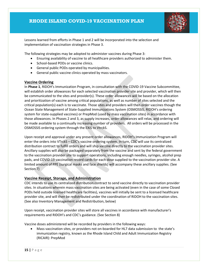

Lessons learned from efforts in Phase 1 and 2 will be incorporated into the selection and implementation of vaccination strategies in Phase 3.

The following strategies may be adopted to administer vaccines during Phase 3:

- Ensuring availability of vaccine to all healthcare providers authorized to administer them.
- School-based PODs or vaccine clinics.
- General public PODs operated by municipalities.
- General public vaccine clinics operated by mass vaccinators.

#### **Vaccine Ordering**

In **Phase 1**, RIDOH's Immunization Program, in consultation with the COVID-19 Vaccine Subcommittee, will establish order allowances for each selected vaccination provider site and provider, which will then be communicated to the sites and provider(s). These order allowances will be based on the allocation and prioritization of vaccine among critical populations, as well as number of sites selected and the critical population(s) each is to vaccinate. Those sites and providers will then order vaccines though the Ocean State Management of State-Supplied Immunizations System (OSMOSSIS, RIDOH's ordering system for state-supplied vaccines) or PrepMod (used by mass vaccination sites) in accordance with those allowances. In Phases 2 and 3, as supply increases, order allowances will relax, and ordering will be made available to a continually increasing number of providers. All orders will be processed in the OSMOSSIS ordering system through the EXiS to VtrckS.

Upon receipt and approval under any present order allowances, RIDOH's Immunization Program will enter the orders into VTrckS – CDC's vaccine ordering system. In turn, CDC will use its centralized distribution contract to fulfill orders and will ship vaccine directly to the vaccination provider sites. Ancillary supplies will also be packaged separately from the vaccine and sent by the federal government to the vaccination provider site to support operations, including enough needles, syringes, alcohol prep pads, and COVID-19 vaccination record cards for each dose supplied to the vaccination provider site. A limited amount of PPE (surgical masks and face shields) will accompany these ancillary supplies. (See Section 7)

#### **Vaccine Receipt, Storage, and Administration**

CDC intends to use its centralized distribution contract to send vaccine directly to vaccination provider sites. In situations wherein mass vaccination sites are being activated (even in the case of some Closed PODs held outside licensed healthcare facilities), vaccines will initially be sent to a licensed healthcare provider site, and will then be redistributed under the coordination of RIDOH to the vaccination sites. (See also Inventory Management and Redistribution, below)

Upon receipt, vaccination provider sites will store all vaccines in accordance with manufacturer's requirements and RIDOH's and CDC's guidance. (See Section 8)

Vaccine doses administered will be recorded by providers in the following ways:

• Mass vaccination sites, or providers not on-boarded for HL7 data submission to the state's immunization registry, known as the Rhode Island Child and Adult Immunization Registry (RICAIR): PrepMod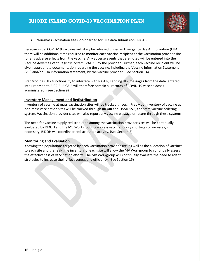

• Non-mass vaccination sites on-boarded for HL7 data submission : RICAIR

Because initial COVID-19 vaccines will likely be released under an Emergency Use Authorization (EUA), there will be additional time required to monitor each vaccine recipient at the vaccination provider site for any adverse effects from the vaccine. Any adverse events that are noted will be entered into the Vaccine Adverse Event Registry System (VAERS) by the provider. Further, each vaccine recipient will be given appropriate documentation regarding the vaccine, including the Vaccine Information Statement (VIS) and/or EUA information statement, by the vaccine provider. (See Section 14)

PrepMod has HL7 functionality to interface with RICAIR, sending HL7 messages from the data entered into PrepMod to RICAIR; RICAIR will therefore contain all records of COVID-19 vaccine doses administered. (See Section 9)

#### **Inventory Management and Redistribution**

Inventory of vaccine at mass vaccination sites will be tracked through PrepMod. Inventory of vaccine at non-mass vaccination sites will be tracked through RICAIR and OSMOSSIS, the state vaccine ordering system. Vaccination provider sites will also report any vaccine wastage or return through these systems.

The need for vaccine supply redistribution among the vaccination provider sites will be continually evaluated by RIDOH and the MV Workgroup to address vaccine supply shortages or excesses; if necessary, RIDOH will coordinate redistribution activity. (See Section 7)

#### **Monitoring and Evaluation**

Knowing the populations targeted by each vaccination provider site, as well as the allocation of vaccines to each site and the real-time inventory of each site will allow the MV Workgroup to continually assess the effectiveness of vaccination efforts. The MV Workgroup will continually evaluate the need to adapt strategies to increase their effectiveness and efficiency. (See Section 15)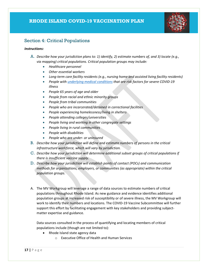

## <span id="page-17-0"></span>Section 4: Critical Populations

#### *Instructions:*

- A. *Describe how your jurisdiction plans to: 1) identify, 2) estimate numbers of, and 3) locate (e.g., via mapping) critical populations. Critical population groups may include:*
	- *Healthcare personnel*
	- *Other essential workers*
	- *Long-term care facility residents (e.g., nursing home and assisted living facility residents)*
	- *People wit[h underlying medical conditions](https://www.cdc.gov/coronavirus/2019-ncov/need-extra-precautions/people-with-medical-conditions.html) that are risk factors for severe COVID-19 illness*
	- *People 65 years of age and older*
	- *People from racial and ethnic minority groups*
	- *People from tribal communities*
	- *People who are incarcerated/detained in correctional facilities*
	- *People experiencing homelessness/living in shelters*
	- *People attending colleges/universities*
	- *People living and working in other congregate settings*
	- *People living in rural communities*
	- *People with disabilities*
	- *People who are under- or uninsured*
- B. *Describe how your jurisdiction will define and estimate numbers of persons in the critical infrastructure workforce, which will vary by jurisdiction.*
- C. *Describe how your jurisdiction will determine additional subset groups of critical populations if there is insufficient vaccine supply.*
- D. *Describe how your jurisdiction will establish points of contact (POCs) and communication methods for organizations, employers, or communities (as appropriate) within the critical population groups.*
- A. The MV Workgroup will leverage a range of data sources to estimate numbers of critical populations throughout Rhode Island. As new guidance and evidence identifies additional population groups at increased risk of susceptibility or of severe illness, the MV Workgroup will work to identify their numbers and locations. The COVID-19 Vaccine Subcommittee will further support this effort by facilitating engagement with key stakeholders and providing subjectmatter expertise and guidance.

Data sources consulted in the process of quantifying and locating members of critical populations include (though are not limited to):

- Rhode Island state agency data
	- o Executive Office of Health and Human Services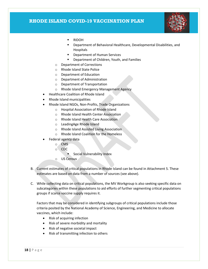

- RIDOH
- Department of Behavioral Healthcare, Developmental Disabilities, and Hospitals
- Department of Human Services
- **•** Department of Children, Youth, and Families
- o Department of Corrections
- o Rhode Island State Police
- o Department of Education
- o Department of Administration
- o Department of Transportation
- o Rhode Island Emergency Management Agency
- Healthcare Coalition of Rhode Island
- Rhode Island municipalities
- Rhode Island NGOs, Non-Profits, Trade Organizations
	- o Hospital Association of Rhode Island
	- o Rhode Island Health Center Association
	- o Rhode Island Health Care Association
	- o LeadingAge Rhode Island
	- o Rhode Island Assisted Living Association
	- o Rhode Island Coalition for the Homeless
- Federal agency data
	- o CMS
		- o CDC
			- **Social Vulnerability Index**
		- o US Census
- B. Current estimates of critical populations in Rhode Island can be found in Attachment 5. These estimates are based on data from a number of sources (see above).
- C. While collecting data on critical populations, the MV Workgroup is also seeking specific data on subcategories within these populations to aid efforts of further segmenting critical populations groups if scarce vaccine supply requires it.

Factors that may be considered in identifying subgroups of critical populations include those criteria posited by the National Academy of Science, Engineering, and Medicine to allocate vaccines, which include:

- Risk of acquiring infection
- Risk of severe morbidity and mortality
- Risk of negative societal impact
- Risk of transmitting infection to others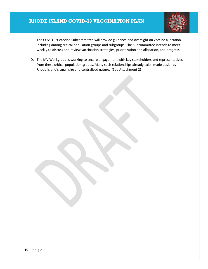

The COVID-19 Vaccine Subcommittee will provide guidance and oversight on vaccine allocation, including among critical population groups and subgroups. The Subcommittee intends to meet weekly to discuss and review vaccination strategies, prioritization and allocation, and progress.

D. The MV Workgroup is working to secure engagement with key stakeholders and representatives from these critical population groups. Many such relationships already exist, made easier by Rhode Island's small size and centralized nature. (See Attachment 2)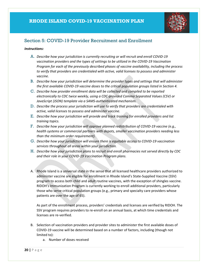

## <span id="page-20-0"></span>Section 5: COVID-19 Provider Recruitment and Enrollment

#### *Instructions:*

- A. *Describe how your jurisdiction is currently recruiting or will recruit and enroll COVID-19 vaccination providers and the types of settings to be utilized in the COVID-19 Vaccination Program for each of the previously described phases of vaccine availability, including the process to verify that providers are credentialed with active, valid licenses to possess and administer vaccine.*
- B. *Describe how your jurisdiction will determine the provider types and settings that will administer the first available COVID-19 vaccine doses to the critical population groups listed in Section 4.*
- C. *Describe how provider enrollment data will be collected and compiled to be reported electronically to CDC twice weekly, using a CDC-provided Comma Separated Values (CSV) or JavaScript (JSON) template via a SAMS-authenticated mechanism.*
- D. *Describe the process your jurisdiction will use to verify that providers are credentialed with active, valid licenses to possess and administer vaccine.*
- E. *Describe how your jurisdiction will provide and track training for enrolled providers and list training topics.*
- F. *Describe how your jurisdiction will approve planned redistribution of COVID-19 vaccine (e.g., health systems or commercial partners with depots, smaller vaccination providers needing less than the minimum order requirement).*
- G. *Describe how your jurisdiction will ensure there is equitable access to COVID-19 vaccination services throughout all areas within your jurisdiction.*
- H. *Describe how your jurisdiction plans to recruit and enroll pharmacies not served directly by CDC and their role in your COVID-19 Vaccination Program plans.*
- A. Rhode Island is a universal state in the sense that all licensed healthcare providers authorized to administer vaccine are eligible for enrollment in Rhode Island's State-Supplied Vaccine (SSV) program to access both child and adult routine vaccines, with the exception of shingles vaccine. RIDOH's Immunization Program is currently working to enroll additional providers, particularly those who serve critical population groups (e.g., primary and specialty care providers whose patients are over the age of 65).

As part of the enrollment process, providers' credentials and licenses are verified by RIDOH. The SSV program requires providers to re-enroll on an annual basis, at which time credentials and licenses are re-verified.

- B. Selection of vaccination providers and provider sites to administer the first available doses of COVID-19 vaccine will be determined based on a number of factors, including (though not limited to):
	- a. Number of doses received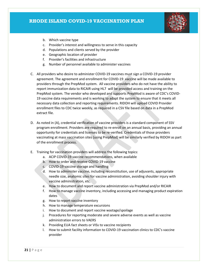

- b. Which vaccine type
- c. Provider's interest and willingness to serve in this capacity
- d. Populations and clients served by the provider
- e. Geographic location of provider
- f. Provider's facilities and infrastructure
- g. Number of personnel available to administer vaccines
- C. All providers who desire to administer COVID-19 vaccines must sign a COVID-19 provider agreement. The agreement and enrollment for COVID-19 vaccine will be made available to providers through the PrepMod system. All vaccine providers who do not have the ability to report immunization data to RICAIR using HL7 will be provided access and training on the PrepMod system. The vendor who developed and supports PrepMod is aware of CDC's COVID-19 vaccine data requirements and is working to adapt the system to ensure that it meets all necessary data collection and reporting requirements. RIDOH will upload COVID Provider enrollment files to CDC twice weekly, as required in a CSV file based on data in a PrepMod extract file.
- D. As noted in (A), credential verification of vaccine providers is a standard component of SSV program enrollment. Providers are required to re-enroll on an annual basis, providing an annual opportunity for credentials and licenses to be re-verified. Credentials of those providers vaccinating at mass vaccination sites (using PrepMod) will be similarly verified by RIDOH as part of the enrollment process.
- E. Training for vaccination providers will address the following topics:
	- a. ACIP COVID-19 vaccine recommendations, when available
	- b. How to order and receive COVID-19 vaccine
	- c. COVID-19 vaccine storage and handling
	- d. How to administer vaccine, including reconstitution, use of adjuvants, appropriate needle size, anatomic sites for vaccine administration, avoiding shoulder injury with vaccine administration, etc.
	- e. How to document and report vaccine administration via PrepMod and/or RICAIR
	- f. How to manage vaccine inventory, including accessing and managing product expiration dates
	- g. How to report vaccine inventory
	- h. How to manage temperature excursions
	- i. How to document and report vaccine wastage/spoilage
	- j. Procedures for reporting moderate and severe adverse events as well as vaccine administration errors to VAERS
	- k. Providing EUA fact sheets or VISs to vaccine recipients
	- l. How to submit facility information to COVID-19 vaccination clinics to CDC's vaccine provider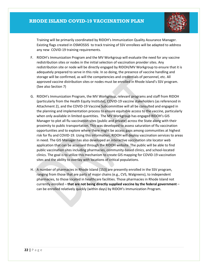

Training will be primarily coordinated by RIDOH's Immunization Quality Assurance Manager. Existing flags created in OSMOSSIS to track training of SSV enrollees will be adapted to address any new COVID-19 training requirements.

- F. RIDOH's Immunization Program and the MV Workgroup will evaluate the need for any vaccine redistribution sites or nodes in the initial selection of vaccination provider sites. Any redistribution site or node will be directly engaged by RIDOH/MV Workgroup to ensure that it is adequately prepared to serve in this role. In so doing, the presence of vaccine handling and storage will be confirmed, as will the competencies and credentials of personnel, etc. All approved vaccine distribution sites or nodes must be enrolled in Rhode Island's SSV program. (See also Section 7)
- G. RIDOH's Immunization Program, the MV Workgroup, relevant programs and staff from RIDOH (particularly from the Health Equity Institute), COVID-19 vaccine stakeholders (as referenced in Attachment 2), and the COVID-19 Vaccine Subcommittee will all be consulted and engaged in the planning and implementation process to ensure equitable access to the vaccine, particularly when only available in limited quantities. The MV Workgroup has engaged RIDOH's GIS Manager to plot all flu vaccination sites (public and private) across the State along with their proximity to public transportation. This was developed to assess saturation of flu vaccination opportunities and to explore where there might be access gaps among communities at highest risk for flu and COVID-19. Using this information, RIDOH will deploy vaccination services to areas in need. The GIS Manager has also developed an interactive vaccination site locator web application that can be accessed through the RIDOH website. The public will be able to find public vaccination sites including pharmacies, community-based clinics, and school-located clinics. The goal is to utilize this mechanism to create GIS mapping for COVID-19 vaccination sites and the ability to overlay with locations of critical populations.
- H. A number of pharmacies in Rhode Island (153) are presently enrolled in the SSV program, ranging from those that are parts of major chains (e.g., CVS, Walgreens), to independent pharmacies, to those located in healthcare facilities. Those pharmacies in Rhode Island not currently enrolled – **that are not being directly supplied vaccine by the federal government** – can be enrolled relatively quickly (within days) by RIDOH's Immunization Program.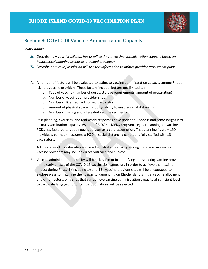

## <span id="page-23-0"></span>Section 6: COVID-19 Vaccine Administration Capacity

#### *Instructions:*

- A. *Describe how your jurisdiction has or will estimate vaccine administration capacity based on hypothetical planning scenarios provided previously.*
- B. *Describe how your jurisdiction will use this information to inform provider recruitment plans.*
- A. A number of factors will be evaluated to estimate vaccine administration capacity among Rhode Island's vaccine providers. These factors include, but are not limited to:
	- a. Type of vaccine (number of doses, storage requirements, amount of preparation)
	- b. Number of vaccination provider sites
	- c. Number of licensed, authorized vaccinators
	- d. Amount of physical space, including ability to ensure social distancing
	- e. Number of willing and interested vaccine recipients

Past planning, exercises, and real-world responses have provided Rhode Island some insight into its mass vaccination capacity. As part of RIDOH's MEDS program, regular planning for vaccine PODs has factored target throughput rates as a core assumption. That planning figure – 150 individuals per hour – assumes a POD in social-distancing conditions fully staffed with 13 vaccinators.

Additional work to estimate vaccine administration capacity among non-mass vaccination vaccine providers may include direct outreach and surveys.

B. Vaccine administration capacity will be a key factor in identifying and selecting vaccine providers in the early phases of the COVID-19 vaccination campaign. In order to achieve the maximum impact during Phase 1 (including 1A and 1B), vaccine provider sites will be encouraged to explore ways to maximize their capacity; depending on Rhode Island's initial vaccine allotment and other factors, only sites that can achieve vaccine administration capacity at sufficient level to vaccinate large groups of critical populations will be selected.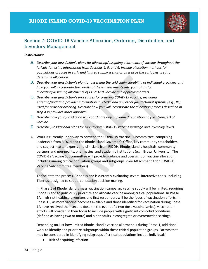

## <span id="page-24-0"></span>Section 7: COVID-19 Vaccine Allocation, Ordering, Distribution, and Inventory Management

#### *Instructions:*

- A. *Describe your jurisdiction's plans for allocating/assigning allotments of vaccine throughout the jurisdiction using information from Sections 4, 5, and 6. Include allocation methods for populations of focus in early and limited supply scenarios as well as the variables used to determine allocation.*
- B. *Describe your jurisdiction's plan for assessing the cold chain capability of individual providers and how you will incorporate the results of these assessments into your plans for allocating/assigning allotments of COVID-19 vaccine and approving orders.*
- C. *Describe your jurisdiction's procedures for ordering COVID-19 vaccine, including entering/updating provider information in VTrckS and any other jurisdictional systems (e.g., IIS) used for provider ordering. Describe how you will incorporate the allocation process described in step A in provider order approval.*
- D. *Describe how your jurisdiction will coordinate any unplanned repositioning (i.e., transfer) of vaccine.*
- E. *Describe jurisdictional plans for monitoring COVID-19 vaccine wastage and inventory levels.*
- A. Work is currently underway to convene the COVID-19 Vaccine Subcommittee, comprising leadership from RIDOH and the Rhode Island Governor's Office, key community stakeholders, and subject-matter experts and clinicians from RIDOH, Rhode Island's hospitals, community partners and non-profits, pharmacies, and academic institutions (e.g., Brown University). The COVID-19 Vaccine Subcommittee will provide guidance and oversight on vaccine allocation, including among critical population groups and subgroups. (See Attachment 4 for COVID-19 Vaccine Subcommittee members)

To facilitate the process, Rhode Island is currently evaluating several interactive tools, including Tiberius, designed to support allocation decision making.

In Phase 1 of Rhode Island's mass vaccination campaign, vaccine supply will be limited, requiring Rhode Island to judiciously prioritize and allocate vaccine among critical populations. In Phase 1A, high-risk healthcare workers and first responders will be the focus of vaccination efforts. In Phase 1B, as more vaccine becomes available and those identified for vaccination during Phase 1A have received their second dose (in the event of a two-dose vaccine series), vaccination efforts will broaden in their focus to include people with significant comorbid conditions (defined as having two or more) and older adults in congregate or overcrowded settings.

Depending on just how limited Rhode Island's vaccine allotment is during Phase 1, additional work to identify and prioritize subgroups within these critical population groups. Factors that may be considered in identifying subgroups of critical populations include individuals'

• Risk of acquiring infection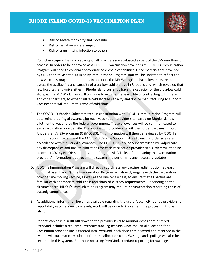

- Risk of severe morbidity and mortality
- Risk of negative societal impact
- Risk of transmitting infection to others
- B. Cold-chain capabilities and capacity of all providers are evaluated as part of the SSV enrollment process. In order to be approved as a COVID-19 vaccination provider site, RIDOH's Immunization Program will need to confirm appropriate cold-chain capabilities. Once materials are provided by CDC, the site visit tool utilized by Immunization Program staff will be updated to reflect the new vaccine storage requirements. In addition, the MV Workgroup has taken measures to assess the availability and capacity of ultra-low cold storage in Rhode Island, which revealed that few hospitals and universities in Rhode Island currently have the capacity for the ultra-low cold storage. The MV Workgroup will continue to explore the feasibility of contracting with these, and other partners, to expand ultra-cold storage capacity and dry ice manufacturing to support vaccines that will require this type of cold chain.
- C. The COVID-19 Vaccine Subcommittee, in consultation with RIDOH's Immunization Program, will determine ordering allowances for each vaccination provider site, based on Rhode Island's allotment of vaccine by the federal government. These allowances will be communicated to each vaccination provider site. The vaccination provider site will then order vaccines through Rhode Island's SSV program (OSMOSSIS). This information will then be reviewed by RIDOH's Immunization Program and the COVID-19 Vaccine Subcommittee to ensure order sizes are in accordance with the issued allowances. The COVID-19 Vaccine Subcommittee will adjudicate any discrepancies and finalize allocations for each vaccination provider site. Orders will then be placed to CDC by RIDOH's Immunization Program via VTrckS, after ensuring that vaccination providers' information is correct in the system and performing any necessary updates.
- D. RIDOH's Immunization Program will directly coordinate any vaccine redistribution (at least during Phases 1 and 2). The Immunization Program will directly engage with the vaccination provider site moving vaccine, as well as the one receiving it, to ensure that all parties are familiar with appropriate cold-chain and chain-of-custody requirements. Depending on the circumstances, RIDOH's Immunization Program may require documentation recording chain-ofcustody compliance.
- E. As additional information becomes available regarding the use of VaccineFinder by providers to report daily vaccine inventory levels, work will be done to implement the process in Rhode Island.

Reports can be run in RICAIR down to the provider level to monitor doses administered. PrepMod includes a real-time inventory tracking feature. Once the initial allocation for a vaccination provider site is entered into PrepMod, each dose administered and recorded in the system will automatically subtract from the allocation total. Wastage and spoilage will also be recorded in this system. For those not using PrepMod, standard reporting for wastage and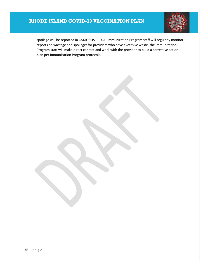

spoilage will be reported in OSMOSSIS. RIDOH Immunization Program staff will regularly monitor reports on wastage and spoilage; for providers who have excessive waste, the Immunization Program staff will make direct contact and work with the provider to build a corrective action plan per Immunization Program protocols.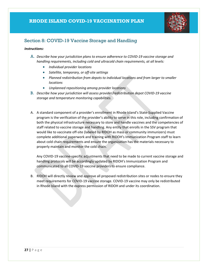

## <span id="page-27-0"></span>Section 8: COVID-19 Vaccine Storage and Handling

#### *Instructions:*

- A. *Describe how your jurisdiction plans to ensure adherence to COVID-19 vaccine storage and handling requirements, including cold and ultracold chain requirements, at all levels:* 
	- *Individual provider locations*
	- *Satellite, temporary, or off-site settings*
	- *Planned redistribution from depots to individual locations and from larger to smaller locations*
	- *Unplanned repositioning among provider locations*
- B. *Describe how your jurisdiction will assess provider/redistribution depot COVID-19 vaccine storage and temperature monitoring capabilities.*
- A. A standard component of a provider's enrollment in Rhode Island's State-Supplied Vaccine program is the verification of the provider's ability to serve in this role, including confirmation of both the physical infrastructure necessary to store and handle vaccines and the competencies of staff related to vaccine storage and handling. Any entity that enrolls in the SSV program that would like to vaccinate off-site (labeled by RIDOH as mass or community immunizers) must complete additional paperwork and training with RIDOH's Immunization Program staff to learn about cold chain requirements and ensure the organization has the materials necessary to properly maintain and monitor the cold chain.

Any COVID-19 vaccine-specific adjustments that need to be made to current vaccine storage and handling protocols will be accordingly updated by RIDOH's Immunization Program and communicated to all COVID-19 vaccine providers to ensure compliance.

B. RIDOH will directly review and approve all proposed redistribution sites or nodes to ensure they meet requirements for COVID-19 vaccine storage. COVID-19 vaccine may only be redistributed in Rhode Island with the express permission of RIDOH and under its coordination.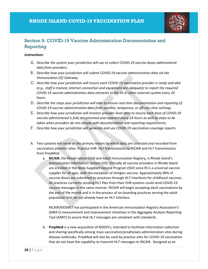

## <span id="page-28-0"></span>Section 9: COVID-19 Vaccine Administration Documentation and Reporting

#### *Instructions:*

- A. *Describe the system your jurisdiction will use to collect COVID-19 vaccine doses administered data from providers.*
- B. *Describe how your jurisdiction will submit COVID-19 vaccine administration data via the Immunization (IZ) Gateway.*
- C. *Describe how your jurisdiction will ensure each COVID-19 vaccination provider is ready and able (e.g., staff is trained, internet connection and equipment are adequate) to report the required COVID-19 vaccine administration data elements to the IIS or other external system every 24 hours.*
- D. *Describe the steps your jurisdiction will take to ensure real-time documentation and reporting of COVID-19 vaccine administration data from satellite, temporary, or off-site clinic settings.*
- E. *Describe how your jurisdiction will monitor provider-level data to ensure each dose of COVID-19 vaccine administered is fully documented and reported every 24 hours as well as steps to be taken when providers do not comply with documentation and reporting requirements.*
- F. *Describe how your jurisdiction will generate and use COVID-19 vaccination coverage reports.*
- A. Two systems will serve as the primary means by which data are collected and recorded from vaccination provider sites: Practice EHR- HL7 transmissions to RICAIR and HL7 transmissions from PrepMod.
	- a. **RICAIR**, the Rhode Island Child and Adult Immunization Registry, is Rhode Island's Immunization Information System (IIS). Virtually all vaccine providers in Rhode Island are enrolled in the State-Supplied Vaccine Program (SSV) since RI is a universal vaccine supplier for all ages, with the exception of shingles vaccine. Approximately 90% of vaccine doses are submitted by practices through HL7 interfaces for childhood vaccines. All practices currently sending HL7 files from their EHR systems could send COVID-19 vaccine messages in the same manner. RICAIR will begin accepting adult vaccinations by the end of the month and is in the process of on-boarding practices serving the adult population that do not already have an HL7 interface.

RICAIR/KIDSNET has participated in the American Immunization Registry Association's (AIRA's) measurement and improvement initiatives in the Aggregate Analysis Reporting Tool (AART) to assure that HL7 messages are compliant with standards.

b. **PrepMod** is a new acquisition of RIDOH's, intended to facilitate information collection and sharing specifically among mass vaccination/prophylaxis administration sites during disease outbreaks. PrepMod will also be used by practice sites for COVID-19 vaccination that do not have the capability to transmit HL7 messages to RICAIR. Designed as an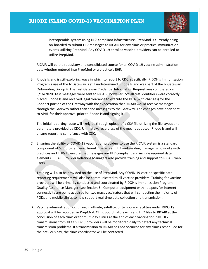

interoperable system using HL7-compliant infrastructure, PrepMod is currently being on-boarded to submit HL7 messages to RICAIR for any clinic or practice immunization events utilizing PrepMod. Any COVID-19 enrolled vaccine providers can be enrolled to utilize PrepMod.

RICAIR will be the repository and consolidated source for all COVID-19 vaccine administration data whether entered into PrepMod or a practice's EHR.

B. Rhode Island is still exploring ways in which to report to CDC; specifically, RIDOH's Immunization Program's use of the IZ Gateway is still undetermined. Rhode Island was part of the IZ Gateway Onboarding Group 4. The Test Gateway Credential Information Request was completed on 9/16/2020. Test messages were sent to RICAIR; however, not all test identifiers were correctly placed. Rhode Island received legal clearance to execute the DUA (with changes) for the Connect portion of the Gateway with the expectation that RICAIR would receive messages through the Gateway rather than send messages to the Gateway. The changes have been sent to APHL for their approval prior to Rhode Island signing it.

The initial reporting route will likely be through upload of a CSV file utilizing the file layout and parameters provided by CDC. Ultimately, regardless of the means adopted, Rhode Island will ensure reporting compliance with CDC.

C. Ensuring the ability of COVID-19 vaccination providers to use the RICAIR system is a standard component of SSV program enrollment. There is an HL7 on-boarding manager who works with practices and EHRs to ensure that messages are HL7 compliant and include required data elements. RICAIR Provider Relations Managers also provide training and support to RICAIR web users.

Training will also be provided on the use of PrepMod. Any COVID-19 vaccine-specific data reporting requirements will also be communicated to all vaccine providers. Training for vaccine providers will be primarily conducted and coordinated by RIDOH's Immunization Program Quality Assurance Manager (see Section 5). Computer equipment with hotspots for internet connectivity are being acquired for two mass vaccinators that will conducting the majority of PODs and mobile clinics to help support real-time data collection and transmission.

D. Vaccine administration occurring in off-site, satellite, or temporary facilities under RIDOH's approval will be recorded in PrepMod. Clinic coordinators will send HL7 files to RICAIR at the conclusion of each clinic or for multi-day clinics at the end of each vaccination day. HL7 transmissions from all COVID-19 providers will be monitored daily to detect any technical transmission problems. If a transmission to RICAIR has not occurred for any clinics scheduled for the previous day, the clinic coordinator will be contacted.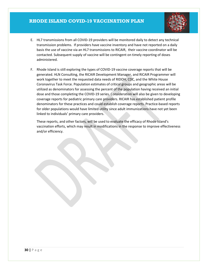

- E. HL7 transmissions from all COVID-19 providers will be monitored daily to detect any technical transmission problems. If providers have vaccine inventory and have not reported on a daily basis the use of vaccine via an HL7 transmissions to RICAIR, their vaccine coordinator will be contacted. Subsequent supply of vaccine will be contingent on timely reporting of doses administered.
- F. Rhode Island is still exploring the types of COVID-19 vaccine coverage reports that will be generated. HLN Consulting, the RICAIR Development Manager, and RICAIR Programmer will work together to meet the requested data needs of RIDOH, CDC, and the White House Coronavirus Task Force. Population estimates of critical groups and geographic areas will be utilized as denominators for assessing the percent of the population having received an initial dose and those completing the COVID-19 series. Consideration will also be given to developing coverage reports for pediatric primary care providers. RICAIR has established patient profile denominators for these practices and could establish coverage reports. Practice-based reports for older populations would have limited utility since adult immunizations have not yet been linked to individuals' primary care providers.

These reports, and other factors, will be used to evaluate the efficacy of Rhode Island's vaccination efforts, which may result in modifications in the response to improve effectiveness and/or efficiency.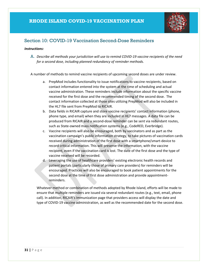

## <span id="page-31-0"></span>Section 10: COVID-19 Vaccination Second-Dose Reminders

#### *Instructions:*

A. *Describe all methods your jurisdiction will use to remind COVID-19 vaccine recipients of the need for a second dose, including planned redundancy of reminder methods.*

A number of methods to remind vaccine recipients of upcoming second doses are under review.

- a. PrepMod includes functionality to issue notifications to vaccine recipients, based on contact information entered into the system at the time of scheduling and actual vaccine administration. These reminders include information about the specific vaccine received for the first dose and the recommended timing of the second dose. The contact information collected at those sites utilizing PrepMod will also be included in the HL7 file sent from PrepMod to RICAIR.
- b. Data fields in RICAIR capture and store vaccine recipients' contact information (phone, phone type, and email) when they are included in HL7 messages. A data file can be produced from RICAIR and a second-dose reminder can be sent via redundant routes, such as State-owned mass notification systems (e.g., CodeRED, Everbridge).
- c. Vaccine recipients will also be encouraged, both by vaccinators and as part as the vaccination campaign's public information strategy, to take pictures of vaccination cards received during administration of the first dose with a smartphone/smart-device to record critical information. This will preserve the information, with the vaccine recipient, even if the vaccination card is lost. The date of the first dose and the type of vaccine received will be recorded.
- d. Leveraging the use of healthcare providers' existing electronic health records and patient portals (particularly those of primary care providers) for reminders will be encouraged. Practices will also be encouraged to book patient appointments for the second dose at the time of first dose administration and provide appointmentreminders.

Whatever method or combination of methods adopted by Rhode Island, efforts will be made to ensure that multiple reminders are issued via several redundant routes (e.g., text, email, phone call). In addition, RICAIR's Immunization page that providers access will display the date and type of COVID-19 vaccine administration, as well as the recommended date for the second dose.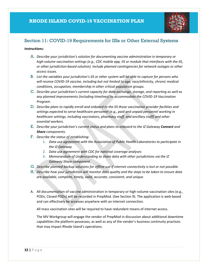

## <span id="page-32-0"></span>Section 11: COVID-19 Requirements for IISs or Other External Systems

#### *Instructions:*

- A. *Describe your jurisdiction's solution for documenting vaccine administration in temporary or high-volume vaccination settings (e.g., CDC mobile app, IIS or module that interfaces with the IIS, or other jurisdiction-based solution). Include planned contingencies for network outages or other access issues.*
- B. *List the variables your jurisdiction's IIS or other system will be able to capture for persons who will receive COVID-19 vaccine, including but not limited to age, race/ethnicity, chronic medical conditions, occupation, membership in other critical population groups.*
- C. *Describe your jurisdiction's current capacity for data exchange, storage, and reporting as well as any planned improvements (including timelines) to accommodate the COVID-19 Vaccination Program.*
- D. *Describe plans to rapidly enroll and onboard to the IIS those vaccination provider facilities and settings expected to serve healthcare personnel (e.g., paid and unpaid personnel working in healthcare settings, including vaccinators, pharmacy staff, and ancillary staff) and other essential workers.*
- E. *Describe your jurisdiction's current status and plans to onboard to the IZ Gateway Connect and Share components.*
- F. *Describe the status of establishing:*
	- 1. *Data use agreement with the Association of Public Health Laboratories to participate in the IZ Gateway*
	- 2. *Data use agreement with CDC for national coverage analyses*
	- 3. *Memorandum of Understanding to share data with other jurisdictions via the IZ Gateway Share component*
- G. *Describe planned backup solutions for offline use if internet connectivity is lost or not possible.*
- H. *Describe how your jurisdiction will monitor data quality and the steps to be taken to ensure data are available, complete, timely, valid, accurate, consistent, and unique.*
- A. All documentation of vaccine administration in temporary or high-volume vaccination sites (e.g., PODs, Closed PODs) will be recorded in PrepMod. (See Section 9). The application is web-based and can effectively be accesses anywhere with an internet connection.

All mass vaccination sites will be required to have redundant means of internet access.

The MV Workgroup will engage the vendor of PrepMod in discussion about additional downtime capabilities the platform possesses, as well as any of the vendor's business continuity practices that may impact Rhode Island's operations.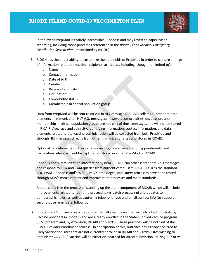

In the event PrepMod is entirely inaccessible, Rhode Island may revert to paper-based recording, including those processes referenced in the *Rhode Island Medical Emergency Distribution System Plan* (maintained by RIDOH).

- B. RIDOH has the direct ability to customize the data fields of PrepMod in order to capture a range of information related to vaccine recipients' attributes, including (though not limited to):
	- a. Name
	- b. Contact information
	- c. Date of birth
	- d. Gender
	- e. Race and ethnicity
	- f. Occupation
	- g. Comorbidity status
	- h. Membership in critical population group

Data from PrepMod will be sent to RICAIR in HL7 messages. RICAIR collects all standard data elements in Immunization HL7 VXU messages; however, comorbidities, occupation, and membership in critical population groups are not part of those messages and will not be stored in RICAIR. Age, race and ethnicity, identifying information, contact information, and data elements related to the vaccine administration will be collected from both PrepMod and through HL7 messages directly from other immunization sites and stored in RICAIR.

Optional data elements such as serology results, missed vaccination appointments, and vaccination refusal will not be captured or stored in either PrepMod or RICAIR.

C. Rhode Island's immunization information system, RICAIR, can process standard VXU messages and respond to Z-34 and Z=44 queries from authenticated users. RICAIR utilizes the standard CDC WSDL. Rhode Island's WSDL, its VXU messages, and Query processes have been tested through AIRA's measurement and improvement processes and meet standards.

Rhode Island is in the process of standing up the adult component of RICAIR which will include improvements related to real-time processing (vs batch processing) and updates to demographic fields, as well as capturing telephone type and email contact info (to support second-dose reminders, follow up).

D. Rhode Island's universal vaccine program for all ages means that virtually all administrators/ vaccine providers in Rhode Island are already enrolled in the State-supplied vaccine program (SSV) program and, by extension, RICAIR and VTrckS. These practices will be notified of the COVID Provider enrollment process. In anticipation of this, outreach has already occurred to likely vaccination sites that are not currently enrolled in RICAIR and VTrckS. Sites wishing to administer COVID-19 vaccine will be either on-boarded for direct submission utilizing HL7 or will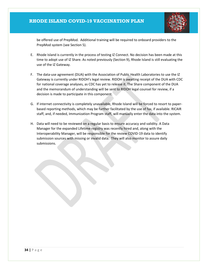

be offered use of PrepMod. Additional training will be required to onboard providers to the PrepMod system (see Section 5).

- E. Rhode Island is currently in the process of testing IZ Connect. No decision has been made at this time to adopt use of IZ Share. As noted previously (Section 9), Rhode Island is still evaluating the use of the IZ Gateway.
- F. The data-use agreement (DUA) with the Association of Public Health Laboratories to use the IZ Gateway is currently under RIDOH's legal review. RIDOH is awaiting receipt of the DUA with CDC for national coverage analyses, as CDC has yet to release it. The Share component of the DUA and the memorandum of understanding will be sent to RIDOH legal counsel for review, if a decision is made to participate in this component.
- G. If internet connectivity is completely unavailable, Rhode Island will be forced to resort to paperbased reporting methods, which may be further facilitated by the use of fax, if available. RICAIR staff, and, if needed, Immunization Program staff, will manually enter the data into the system.
- H. Data will need to be reviewed on a regular basis to ensure accuracy and validity. A Data Manager for the expanded Lifetime registry was recently hired and, along with the Interoperability Manager, will be responsible for the review COVID-19 data to identify submission sources with missing or invalid data. They will also monitor to assure daily submissions.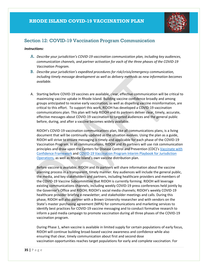

## <span id="page-35-0"></span>Section 12: COVID-19 Vaccination Program Communication

#### *Instructions:*

- A. *Describe your jurisdiction's COVID-19 vaccination communication plan, including key audiences, communication channels, and partner activation for each of the three phases of the COVID-19 Vaccination Program.*
- B. *Describe your jurisdiction's expedited procedures for risk/crisis/emergency communication, including timely message development as well as delivery methods as new information becomes available.*
- A. Starting before COVID-19 vaccines are available, clear, effective communication will be critical to maximizing vaccine uptake in Rhode Island. Building vaccine confidence broadly and among groups anticipated to receive early vaccination, as well as dispelling vaccine misinformation, are critical to this effort.  To support this work, RIDOH has developed a COVID-19 vaccination communications plan. This plan will help RIDOH and its partners deliver clear, timely, accurate, effective messages about COVID-19 vaccination to targeted audiences and the general public before, during, and after a vaccine becomes widely available.

RIDOH's COVID-19 vaccination communications plan, like all communications plans, is a living document that will be continually updated as the situation evolves. Using the plan as a guide, RIDOH will strive to ensure messaging is timely and applicable for each phase of the COVID-19 Vaccination Program. In all communications, RIDOH and its partners will use risk communication principles and draw upon the Centers for Disease Control and Prevention (CDC)'s [Vaccinate with](https://www.cdc.gov/vaccines/partners/vaccinate-with-confidence.html)  [Confidence Framework](https://www.cdc.gov/vaccines/partners/vaccinate-with-confidence.html) and [COVID-19 Vaccination Program Interim Playbook for Jurisdiction](https://www.cdc.gov/vaccines/imz-managers/downloads/COVID-19-Vaccination-Program-Interim_Playbook.pdf)  [Operations,](https://www.cdc.gov/vaccines/imz-managers/downloads/COVID-19-Vaccination-Program-Interim_Playbook.pdf) as well as Rhode Island's own vaccine distribution plan. 

Before vaccine is available, RIDOH and its partners will share information about the vaccine planning process in a transparent, timely manner. Key audiences will include the general public, the media, and key stakeholders and partners, including healthcare providers and members of the COVID-19 Vaccine Subcommittee that RIDOH is currently forming. RIDOH will leverage existing communications channels, including weekly COVID-19 press conferences held jointly by the Governor's Office and RIDOH; RIDOH's social media channels; RIDOH's weekly COVID-19 healthcare provider briefing e-newsletter; and stakeholder meetings and calls. During this phase, RIDOH will also partner with a Brown University researcher and with vendors on the State's master purchasing agreement (MPA) for communications and marketing services to identify best practices for COVID-19 vaccine messaging and to conduct formative research to inform a paid media campaign to promote vaccination during all three phases of the COVID-19 vaccination program.

During Phase 1, when vaccine is available in limited supply for certain populations of early focus, RIDOH will continue building broad-based vaccine awareness and confidence while also ensuring that clear, timely communication about first and second dose vaccination opportunities reaches target populations for early and complete vaccination. For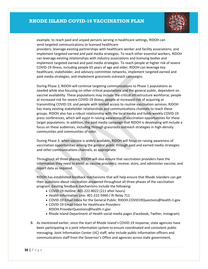

example, to reach paid and unpaid persons serving in healthcare settings, RIDOH can send targeted communications to licensed healthcare

providers; leverage existing partnerships with healthcare worker and facility associations; and implement targeted earned and paid media strategies. To reach other essential workers, RIDOH can leverage existing relationships with industry associations and licensing bodies and implement targeted earned and paid media strategies. To reach people at higher risk of severe COVID-19 illness, including people 65 years of age and older, RIDOH can leverage key healthcare, stakeholder, and advisory committee networks, implement targeted earned and paid media strategies, and implement grassroots outreach campaigns.

During Phase 2, RIDOH will continue targeting communications to Phase 1 populations as needed while also focusing on other critical populations and the general public, dependent on vaccine availability. These populations may include the critical infrastructure workforce; people at increased risk for severe COVID-19 illness; people at increased risk of acquiring or transmitting COVID-19; and people with limited access to routine vaccination services. RIDOH has many existing stakeholder relationships and communications channels to reach these groups. RIDOH also has a robust relationship with the local media and holds weekly COVID-19 press conferences, which will assist in raising awareness of vaccination opportunities for these target populations. In addition, the paid media campaign that RIDOH is developing will include a focus on these audiences, including through grassroots outreach strategies in high-density communities and communities of color.

During Phase 3, when vaccine is widely available, RIDOH will focus on raising awareness of vaccination opportunities among the general public through paid and earned media strategies and other communications channels, as appropriate.

Throughout all three phases, RIDOH will also ensure that vaccination providers have the information they need to enroll as vaccine providers; receive, store, and administer vaccine; and report data as required.

RIDOH has established feedback mechanisms that will help ensure that Rhode Islanders can get their questions about vaccination answered throughout all three phases of the vaccination program. Existing feedback mechanisms include the following:

- COVID-19 Hotline: 401-222-8022 (211 after hours)
- Health Information Line: 401-222-5960 / RI Relay 711
- COVID-19 Email Inbox for the General Public: RIDOH.COVID19Questions@health.ri.gov
- COVID-19 Email Inbox for Healthcare Providers: RIDOH.ProviderQuestions@health.ri.gov
- Rhode Island Department of Health social media pages (Facebook, Twitter, Instagram)
- B. As mentioned earlier, since the start of Rhode Island's COVID-19 response, state agencies have been participating in a joint information system to ensure coordinated and consistent public messaging. Joint Information Center (JIC) staff, who include public information officers and communications staff from the Governor's Office and agencies across state government,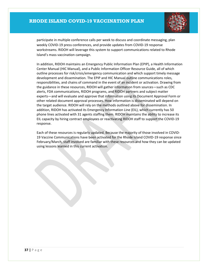

participate in multiple conference calls per week to discuss and coordinate messaging, plan weekly COVID-19 press conferences, and provide updates from COVID-19 response workstreams. RIDOH will leverage this system to support communications related to Rhode Island's mass vaccination campaign.

In addition, RIDOH maintains an Emergency Public Information Plan (EPIP), a Health Information Center Manual (HIC Manual), and a Public Information Officer Resource Guide, all of which outline processes for risk/crisis/emergency communication and which support timely message development and dissemination. The EPIP and HIC Manual outline communications roles, responsibilities, and chains of command in the event of an incident or activation. Drawing from the guidance in these resources, RIDOH will gather information from sources—such as CDC alerts, FDA communications, RIDOH programs, and RIDOH partners and subject matter experts—and will evaluate and approve that information using its Document Approval Form or other related document approval processes. How information is disseminated will depend on the target audience. RIDOH will rely on the methods outlined above for dissemination. In addition, RIDOH has activated its Emergency Information Line (EIL), which currently has 50 phone lines activated with 31 agents staffing them. RIDOH maintains the ability to increase its EIL capacity by hiring contract employees or reactivating RIDOH staff to support the COVID-19 response.

Each of these resources is regularly updated. Because the majority of those involved in COVID-19 Vaccine Communications have been activated for the Rhode Island COVID-19 response since February/March, staff involved are familiar with these resources and how they can be updated using lessons learned in this current activation.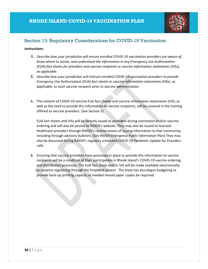

## <span id="page-38-0"></span>Section 13: Regulatory Considerations for COVID-19 Vaccination

#### *Instructions:*

- A. *Describe how your jurisdiction will ensure enrolled COVID-19 vaccination providers are aware of, know where to locate, and understand the information in any Emergency Use Authorization (EUA) fact sheets for providers and vaccine recipients or vaccine information statements (VISs), as applicable.*
- B. *Describe how your jurisdiction will instruct enrolled COVID-19 vaccination providers to provide Emergency Use Authorization (EUA) fact sheets or vaccine information statements (VISs), as applicable, to each vaccine recipient prior to vaccine administration.*
- A. The content of COVID-19 vaccine EUA fact sheets and vaccine information statements (VIS), as well as the need to provide this information to vaccine recipients, will be covered in the training offered to vaccine providers. (See Section 5)

EUA fact sheets and VISs will be directly issued to providers during orientation and/or vaccine ordering and will also be posted to RIDOH's website. They may also be issued to licensed healthcare providers through RIDOH's routine means of issuing information to that community, including through advisory bulletins. (See RIDOH *Emergency Public Information Plan*) They may also be discussed during RIDOH's regularly scheduled COVID-19 Pandemic Update for Providers calls.

B. Ensuring that vaccine providers have processes in place to provide this information to vaccine recipients will be a condition of their participation in Rhode Island's COVID-19 vaccine ordering and distribution processes. The EUA fact sheet and/or VIS will be made available electronically to patients registering through the PrepMod system. The State has also begun budgeting to provide back-up printing capacity as needed should paper copies be required.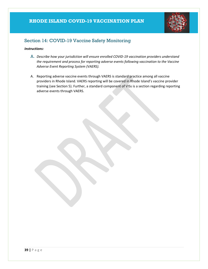

## <span id="page-39-0"></span>Section 14: COVID-19 Vaccine Safety Monitoring

#### *Instructions:*

- A. *Describe how your jurisdiction will ensure enrolled COVID-19 vaccination providers understand the requirement and process for reporting adverse events following vaccination to the Vaccine Adverse Event Reporting System (VAERS).*
- A. Reporting adverse vaccine events through VAERS is standard practice among all vaccine providers in Rhode Island. VAERS reporting will be covered in Rhode Island's vaccine provider training (see Section 5). Further, a standard component of VISs is a section regarding reporting adverse events through VAERS.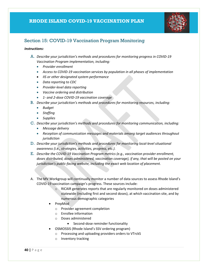

## <span id="page-40-0"></span>Section 15: COVID-19 Vaccination Program Monitoring

#### *Instructions:*

- A. *Describe your jurisdiction's methods and procedures for monitoring progress in COVID-19 Vaccination Program implementation, including:*
	- *Provider enrollment*
	- *Access to COVID-19 vaccination services by population in all phases of implementation*
	- *IIS or other designated system performance*
	- *Data reporting to CDC*
	- *Provider-level data reporting*
	- *Vaccine ordering and distribution*
	- *1- and 2-dose COVID-19 vaccination coverage*
- B. *Describe your jurisdiction's methods and procedures for monitoring resources, including:*
	- *Budget*
	- *Staffing*
	- *Supplies*
- C. *Describe your jurisdiction's methods and procedures for monitoring communication, including:*
	- *Message delivery*
	- *Reception of communication messages and materials among target audiences throughout jurisdiction*
- D. *Describe your jurisdiction's methods and procedures for monitoring local-level situational awareness (i.e., strategies, activities, progress, etc.).*
- E. *Describe the COVID-19 Vaccination Program metrics (e.g., vaccination provider enrollment, doses distributed, doses administered, vaccination coverage), if any, that will be posted on your jurisdiction's public-facing website, including the exact web location of placement.*
- A. The MV Workgroup will continually monitor a number of data sources to assess Rhode Island's COVID-19 vaccination campaign's progress. These sources include:
	- o RICAIR generates reports that are regularly monitored on doses administered statewide (including first and second doses), at which vaccination site, and by numerous demographic categories
	- PrepMod
		- o Provider agreement completion
		- o Enrollee information
		- o Doses administered
			- Second-dose reminder functionality
	- OSMOSSIS (Rhode Island's SSV ordering program)
		- o Processing and uploading providers orders to VTrckS
		- o Inventory tracking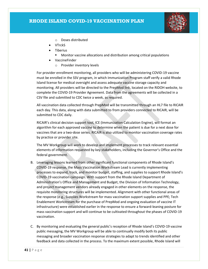

- o Doses distributed
- VTrckS
- Tiberius
	- Monitor vaccine allocations and distribution among critical populations
- VaccineFinder
	- o Provider inventory levels

For provider enrollment monitoring, all providers who will be administering COVID-19 vaccine must be enrolled in the SSV program, in which Immunization Program staff verify a valid Rhode Island license for medical oversight and assess adequate vaccine storage capacity and monitoring. All providers will be directed to the PrepMod link, located on the RIDOH website, to complete the COVID-19 Provider Agreement. Data from the agreements will be collected in a CSV file and submitted to CDC twice a week, as required.

All vaccination data collected through PrepMod will be transmitted through an HL7 file to RICAIR each day. This data, along with data submitted to from providers connected to RICAIR, will be submitted to CDC daily.

RICAIR's clinical decision support tool, ICE (Immunization Calculation Engine), will format an algorithm for each approved vaccine to determine when the patient is due for a next dose for vaccines that are a two-dose series. RICAIR is also utilized to monitor vaccination coverage rates by practice or provider site.

The MV Workgroup will work to develop and implement processes to track relevant essential elements of information requested by key stakeholders, including the Governor's Office and the federal government.

- B. Leveraging lessons learned from other significant functional components of Rhode Island's COVID-19 response, the Mass Vaccination Workstream Lead is currently implementing processes to expand, track, and monitor budget, staffing, and supplies to support Rhode Island's COVID-19 vaccination campaign. With support from the Rhode Island Department of Administration's Office and Management and Budget, the Division of Information Technology, and project management vendors already engaged in other elements on the response, the requisite monitoring structures will be implemented. Alignment with other functional areas of the response (e.g., Supplies Workstream for mass vaccination support supplies and PPE; Tech Enablement Workstream for the purchase of PrepMod and ongoing evaluation of vaccine IT infrastructure) were established earlier in the response to ensure a forward-leaning posture for mass vaccination support and will continue to be cultivated throughout the phases of COVID-19 vaccination.
- C. By monitoring and evaluating the general public's reception of Rhode Island's COVID-19 vaccine public messaging, the MV Workgroup will be able to continually modify both its public messaging and broader vaccination response strategies to adapt to trends identified and other feedback and data collected in the process. To the maximum extent possible, Rhode Island will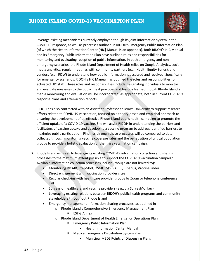

leverage existing mechanisms currently employed though its joint information system in the COVID-19 response, as well as processes outlined in RIDOH's Emergency Public Information Plan (of which the Health Information Center [HIC] Manual is an appendix). Both RIDOH's HIC Manual and its Emergency Public Information Plan have outlined roles and responsibilities for monitoring and evaluating reception of public information. In both emergency and nonemergency scenarios, the Rhode Island Department of Health relies on Google Analytics, social media analytics, regular meetings with community partners (e.g., Health Equity Zones), and vendors (e.g., RDW) to understand how public information is accessed and received. Specifically for emergency scenarios, RIDOH's HIC Manual has outlined the roles and responsibilities for activated HIC staff. These roles and responsibilities include designating individuals to monitor and evaluate messages to the public. Best practices and lessons learned though Rhode Island's media monitoring and evaluation will be incorporated, as appropriate, both in current COVID-19 response plans and after-action reports.

RIDOH has also contracted with an Assistant Professor at Brown University to support research efforts related to COVID-19 vaccination, focused on a theory-based and empirical approach to ensuring the development of an effective Rhode Island public health campaign to promote the efficient uptake of a COVID-19 vaccine. She will assist RIDOH in understanding the barriers and facilitators of vaccine uptake and developing a vaccine program to address identified barriers to maximize public participation. Findings through these processes will be compared to data collected through monitoring vaccine coverage rates and the penetration of critical population groups to provide a holistic evaluation of the mass vaccination campaign.

- D. Rhode Island will seek to leverage its existing COVID-19 information collection and sharing processes to the maximum extent possible to support the COVID-19 vaccination campaign. Available information collection processes include (though are not limited to):
	- Monitoring RICAIR, PrepMod, OSMOSSIS, VAERS, Tiberius, VaccineFinder
	- Direct engagement with vaccination provider sites
	- Regular check-ins with healthcare provider groups by Zoom or telephone conference call
	- Surveys of healthcare and vaccine providers (e.g., via SurveyMonkey)
	- Leveraging existing relations between RIDOH's public health programs and community stakeholders throughout Rhode Island
	- Emergency management information-sharing processes, as outlined in
		- o Rhode Island's Comprehensive Emergency Management Plan
			- **ESF-8 Annex**
		- o Rhode Island Department of Health Emergency Operations Plan
			- **Emergency Public Information Plan** 
				- Health Information Center Manual
			- **Medical Emergency Distribution System Plan** 
				- Municipal MEDS Points of Dispensing Plans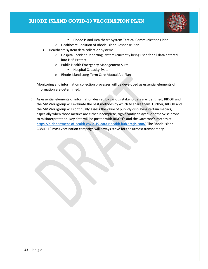

- **Rhode Island Healthcare System Tactical Communications Plan**
- o Healthcare Coalition of Rhode Island Response Plan
- Healthcare system data collection systems
	- o Hospital Incident Reporting System (currently being used for all data entered into HHS Protect)
	- o Public Health Emergency Management Suite
		- **Hospital Capacity System**
	- o Rhode Island Long-Term Care Mutual Aid Plan

Monitoring and information collection processes will be developed as essential elements of information are determined.

E. As essential elements of information desired by various stakeholders are identified, RIDOH and the MV Workgroup will evaluate the best methods by which to share them. Further, RIDOH and the MV Workgroup will continually assess the value of publicly displaying certain metrics, especially when those metrics are either incomplete, significantly delayed, or otherwise prone to misinterpretation. Key data will be posted with RIDOH's and the Governor's metrics at: [https://ri-department-of-health-covid-19-data-rihealth.hub.arcgis.com/.](https://ri-department-of-health-covid-19-data-rihealth.hub.arcgis.com/) The Rhode Island COVID-19 mass vaccination campaign will always strive for the utmost transparency.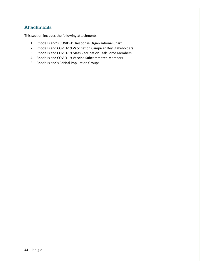## <span id="page-44-0"></span>**Attachments**

This section includes the following attachments:

- 1. Rhode Island's COVID-19 Response Organizational Chart
- 2. Rhode Island COVID-19 Vaccination Campaign Key Stakeholders
- 3. Rhode Island COVID-19 Mass Vaccination Task Force Members
- 4. Rhode Island COVID-19 Vaccine Subcommittee Members
- 5. Rhode Island's Critical Population Groups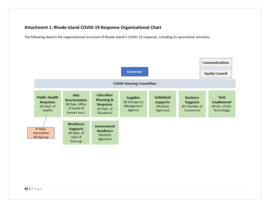#### **Attachment 1: Rhode Island COVID-19 Response Organizational Chart**

The following depicts the organizational structure of Rhode Island's COVID-19 response, including its vaccination activities.

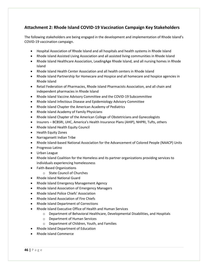#### **Attachment 2: Rhode Island COVID-19 Vaccination Campaign Key Stakeholders**

The following stakeholders are being engaged in the development and implementation of Rhode Island's COVID-19 vaccination campaign.

- Hospital Association of Rhode Island and all hospitals and health systems in Rhode Island
- Rhode Island Assisted Living Association and all assisted living communities in Rhode Island
- Rhode Island Healthcare Association, LeadingAge Rhode Island, and all nursing homes in Rhode Island
- Rhode Island Health Center Association and all health centers in Rhode Island
- Rhode Island Partnership for Homecare and Hospice and all homecare and hospice agencies in Rhode Island
- Retail Federation of Pharmacies, Rhode Island Pharmacists Association, and all chain and independent pharmacies in Rhode Island
- Rhode Island Vaccine Advisory Committee and the COVID-19 Subcommittee
- Rhode Island Infectious Disease and Epidemiology Advisory Committee
- Rhode Island Chapter the American Academy of Pediatrics
- Rhode Island Academy of Family Physicians
- Rhode Island Chapter of the American College of Obstetricians and Gynecologists
- Insurers BCBSRI, UHC, America's Health Insurance Plans (AHIP), NHPRI, Tufts, others
- Rhode Island Health Equity Council
- Health Equity Zones
- Narragansett Indian Tribe
- Rhode Island-based National Association for the Advancement of Colored People (NAACP) Units
- Progresso Latino
- Urban League
- Rhode Island Coalition for the Homeless and its partner organizations providing services to individuals experiencing homelessness
- Faith-Based Organizations
	- o State Council of Churches
- Rhode Island National Guard
- Rhode Island Emergency Management Agency
- Rhode Island Association of Emergency Managers
- Rhode Island Police Chiefs' Association
- Rhode Island Association of Fire Chiefs
- Rhode Island Department of Corrections
- Rhode Island Executive Office of Health and Human Services
	- o Department of Behavioral Healthcare, Developmental Disabilities, and Hospitals
	- o Department of Human Services
	- o Department of Children, Youth, and Families
- Rhode Island Department of Education
- Rhode Island Commerce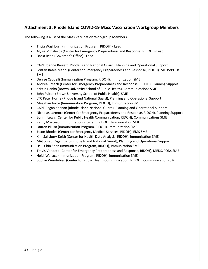#### **Attachment 3: Rhode Island COVID-19 Mass Vaccination Workgroup Members**

The following is a list of the Mass Vaccination Workgroup Members.

- Tricia Washburn (Immunization Program, RIDOH) Lead
- Alysia Mihalakos (Center for Emergency Preparedness and Response, RIDOH) Lead
- Dacia Read (Governor's Office) Lead
- CAPT Joanne Barrett (Rhode Island National Guard), Planning and Operational Support
- Brittan Bates-Manni (Center for Emergency Preparedness and Response, RIDOH), MEDS/PODs SME
- Denise Cappelli (Immunization Program, RIDOH), Immunization SME
- Andrea Creach (Center for Emergency Preparedness and Response, RIDOH), Planning Support
- Kristin Danko (Brown University School of Public Health), Communications SME
- John Fulton (Brown University School of Public Health), SME
- LTC Peter Horne (Rhode Island National Guard), Planning and Operational Support
- Meaghan Joyce (Immunization Program, RIDOH), Immunization SME
- CAPT Regan Keenan (Rhode Island National Guard), Planning and Operational Support
- Nicholas Larmore (Center for Emergency Preparedness and Response, RIDOH), Planning Support
- Bunmi Lewis (Center for Public Health Communication, RIDOH), Communications SME
- Kathy Marceau (Immunization Program, RIDOH), Immunization SME
- Lauren Piluso (Immunization Program, RIDOH), Immunization SME
- Jason Rhodes (Center for Emergency Medical Services, RIDOH), EMS SME
- Kim Salisbury-Keith (Center for Health Data Analysis, RIDOH), Immunization SME
- MAJ Joseph Sgambato (Rhode Island National Guard), Planning and Operational Support
- Hsiu Chin Shen (Immunization Program, RIDOH), Immunization SME
- Travis Vendetti (Center for Emergency Preparedness and Response, RIDOH), MEDS/PODs SME
- Heidi Wallace (Immunization Program, RIDOH), Immunization SME
- Sophie Wendelken (Center for Public Health Communication, RIDOH), Communications SME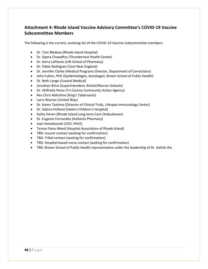## **Attachment 4: Rhode Island Vaccine Advisory Committee's COVID-19 Vaccine Subcommittee Members**

The following is the current, evolving list of the COVID-19 Vaccine Subcommittee members:

- Dr. Tom Bledsoe (Rhode Island Hospital)
- Dr. Sapna Chowdhry (Thundermist Health Center)
- Dr. Kerry LaPlante (URI School of Pharmacy)
- Dr. Pablo Rodriguez (Care New England)
- Dr. Jennifer Clarke (Medical Programs Director, Department of Corrections)
- John Fulton, PhD (Epidemiologist, Sociologist, Brown School of Public Health)
- Dr. Beth Lange (Coastal Medical)
- Jonathan Brice (Superintendent, Bristol/Warren Schools)
- Dr. Wilfredo Perez (Tri-County Community Action Agency)
- Rev.Chris Abhulime (King's Tabernacle)
- Larry Warner (United Way)
- Dr. Karen Tashima (Director of Clinical Trials, Lifespan Immunology Center)
- Dr. Sabina Holland (Hasbro Children's Hospital)
- Kathy Heren (Rhode Island Long-term Care Ombudsman)
- Dr. Eugenio Fernandez (Asthenis Pharmacy)
- Joan Kwiatkowski (CEO, PACE)
- Teresa Paiva-Weed (Hospital Association of Rhode Island)
- TBD: insurer contact (waiting for confirmation)
- TBD: Tribal contact (waiting for confirmation)
- TBD: Hospital-based nurse contact (waiting for confirmation)
- TBD: Brown School of Public Health representative under the leadership of Dr. Ashish Jha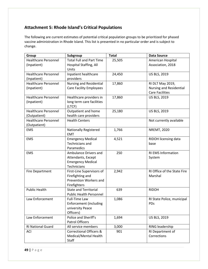## **Attachment 5: Rhode Island's Critical Populations**

The following are current estimates of potential critical population groups to be prioritized for phased vaccine administration in Rhode Island. This list is presented in no particular order and is subject to change.

| Group                                      | Subgroup                                             | <b>Total</b> | <b>Data Source</b>          |
|--------------------------------------------|------------------------------------------------------|--------------|-----------------------------|
| <b>Healthcare Personnel</b>                | <b>Total Full and Part Time</b>                      | 25,505       | American Hospital           |
| (Inpatient)                                | Hospital Staffing, All<br>Units                      |              | Association, 2018           |
| <b>Healthcare Personnel</b>                | Inpatient healthcare                                 | 24,450       | <b>US BLS, 2019</b>         |
| (Inpatient)                                | providers                                            |              |                             |
| <b>Healthcare Personnel</b>                | <b>Nursing and Residential</b>                       | 17,860       | RI DLT May 2019,            |
| (Inpatient)                                | <b>Care Facility Employees</b>                       |              | Nursing and Residential     |
|                                            |                                                      |              | <b>Care Facilities</b>      |
| <b>Healthcare Personnel</b><br>(Inpatient) | Healthcare providers in<br>long term care facilities | 17,860       | <b>US BLS, 2019</b>         |
|                                            | (LTCF)                                               |              |                             |
| <b>Healthcare Personnel</b>                | Outpatient and home                                  | 25,180       | <b>US BLS, 2019</b>         |
| (Outpatient)                               | health care providers                                |              |                             |
| <b>Healthcare Personnel</b>                | <b>Health Centers</b>                                |              | Not currently available     |
| (Outpatient)                               |                                                      |              |                             |
| <b>EMS</b>                                 | <b>Nationally Registered</b>                         | 1,766        | <b>NREMT, 2020</b>          |
|                                            | <b>EMT</b>                                           |              |                             |
| <b>EMS</b>                                 | <b>Emergency Medical</b>                             | 4,521        | RIDOH licensing data        |
|                                            | Technicians and                                      |              | base                        |
|                                            | Paramedics                                           |              |                             |
| <b>EMS</b>                                 | Ambulance Drivers and                                | 250          | RI EMS Information          |
|                                            | Attendants, Except                                   |              | System                      |
|                                            | <b>Emergency Medical</b><br>Technicians              |              |                             |
| <b>Fire Department</b>                     | First-Line Supervisors of                            | 2,942        | RI Office of the State Fire |
|                                            | Firefighting and                                     |              | Marshal                     |
|                                            | Prevention Workers and                               |              |                             |
|                                            | Firefighters                                         |              |                             |
| <b>Public Health</b>                       | <b>State and Territorial</b>                         | 639          | <b>RIDOH</b>                |
|                                            | <b>Public Health Personnel</b>                       |              |                             |
| Law Enforcement                            | <b>Full-Time Law</b>                                 | 1,086        | RI State Police, municipal  |
|                                            | <b>Enforcement (including</b>                        |              | PDs                         |
|                                            | university Peace                                     |              |                             |
|                                            | Officers)                                            |              |                             |
| Law Enforcement                            | Police and Sheriff's                                 | 1,694        | <b>US BLS, 2019</b>         |
|                                            | <b>Patrol Officers</b>                               |              |                             |
| <b>RI National Guard</b>                   | All service members                                  | 3,000        | RING leadership             |
| <b>ACI</b>                                 | <b>Correctional Officers &amp;</b>                   | 901          | RI Department of            |
|                                            | Medical/Mental Health                                |              | Corrections                 |
|                                            | Staff                                                |              |                             |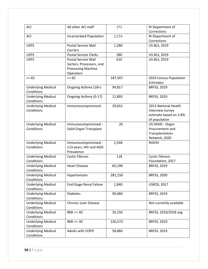| <b>ACI</b>                | All other ACI staff                    | 372     | RI Department of                    |
|---------------------------|----------------------------------------|---------|-------------------------------------|
|                           |                                        |         | Corrections                         |
| ACI                       | <b>Incarcerated Population</b>         | 2,216   | RI Department of                    |
|                           |                                        |         | Corrections                         |
| <b>USPS</b>               | <b>Postal Service Mail</b><br>Carriers | 1,280   | <b>US BLS, 2019</b>                 |
| <b>USPS</b>               | <b>Postal Service Clerks</b>           | 280     | US BLS, 2019                        |
| <b>USPS</b>               | <b>Postal Service Mail</b>             | 610     | <b>US BLS, 2019</b>                 |
|                           | Sorters, Processors, and               |         |                                     |
|                           | <b>Processing Machine</b>              |         |                                     |
|                           | Operators                              |         |                                     |
| $>= 65$                   | $>= 65$                                | 187,507 | 2019 Census Population<br>Estimates |
| <b>Underlying Medical</b> | Ongoing Asthma (18+)                   | 94,817  | BRFSS, 2019                         |
| Conditions                |                                        |         |                                     |
| <b>Underlying Medical</b> | Ongoing Asthma (0-17)                  | 12,893  | <b>BRFSS, 2019</b>                  |
| Conditions                |                                        |         |                                     |
| <b>Underlying Medical</b> | Immunocompromised                      | 29,652  | 2013 National Health                |
| Conditions                |                                        |         | <b>Interview Survey</b>             |
|                           |                                        |         | estimate based on 2.8%              |
|                           |                                        |         | of population                       |
| <b>Underlying Medical</b> | Immunocompromised -                    | 26      | US DHHS - Organ                     |
| Conditions                | Solid Organ Transplant                 |         | Procurement and                     |
|                           |                                        |         | Transplantation                     |
|                           |                                        |         | Network, 2020                       |
| <b>Underlying Medical</b> | Immunocompromised -                    | 2,548   | <b>RIDOH</b>                        |
| Conditions                | ≥13 years, HIV and AIDS                |         |                                     |
|                           | Prevalence                             |         |                                     |
| <b>Underlying Medical</b> | <b>Cystic Fibrosis</b>                 | 118     | <b>Cystic Fibrosis</b>              |
| Conditions                |                                        |         | Foundation, 2017                    |
| <b>Underlying Medical</b> | <b>Heart Disease</b>                   | 65,190  | <b>BRFSS, 2019</b>                  |
| Conditions                |                                        |         |                                     |
| <b>Underlying Medical</b> | Hypertension                           | 281,150 | <b>BRFSS, 2020</b>                  |
| Conditions                |                                        |         |                                     |
| <b>Underlying Medical</b> | <b>End-Stage Renal Failure</b>         | 1,840   | <b>USRDS, 2017</b>                  |
| Conditions                |                                        |         |                                     |
| <b>Underlying Medical</b> | <b>Diabetes</b>                        | 90,060  | <b>BRFSS, 2019</b>                  |
| Conditions                |                                        |         |                                     |
| <b>Underlying Medical</b> | <b>Chronic Liver Disease</b>           |         | Not currently available             |
| Conditions                |                                        |         |                                     |
| <b>Underlying Medical</b> | $BMI \ge 40$                           | 35,150  | BRFSS, 2019/2018 avg                |
| Conditions                |                                        |         |                                     |
| <b>Underlying Medical</b> | $BMI \geq 30$                          | 226,573 | <b>BRFSS, 2019</b>                  |
| Conditions                |                                        |         |                                     |
| <b>Underlying Medical</b> | Adults with COPD                       | 58,886  | BRFSS, 2019                         |
| Conditions                |                                        |         |                                     |